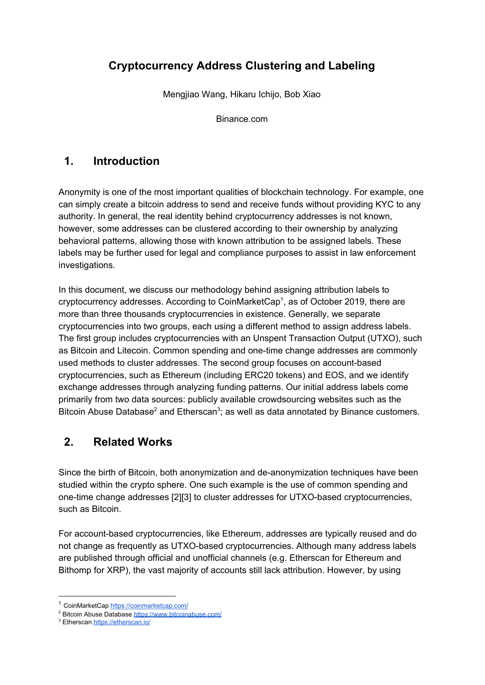# **Cryptocurrency Address Clustering and Labeling**

Mengjiao Wang, Hikaru Ichijo, Bob Xiao

Binance.com

# **1. Introduction**

Anonymity is one of the most important qualities of blockchain technology. For example, one can simply create a bitcoin address to send and receive funds without providing KYC to any authority. In general, the real identity behind cryptocurrency addresses is not known, however, some addresses can be clustered according to their ownership by analyzing behavioral patterns, allowing those with known attribution to be assigned labels. These labels may be further used for legal and compliance purposes to assist in law enforcement investigations.

In this document, we discuss our methodology behind assigning attribution labels to cryptocurrency addresses. According to CoinMarketCap<sup>1</sup>, as of October 2019, there are more than three thousands cryptocurrencies in existence. Generally, we separate cryptocurrencies into two groups, each using a different method to assign address labels. The first group includes cryptocurrencies with an Unspent Transaction Output (UTXO), such as Bitcoin and Litecoin. Common spending and one-time change addresses are commonly used methods to cluster addresses. The second group focuses on account-based cryptocurrencies, such as Ethereum (including ERC20 tokens) and EOS, and we identify exchange addresses through analyzing funding patterns. Our initial address labels come primarily from two data sources: publicly available crowdsourcing websites such as the Bitcoin Abuse Database<sup>2</sup> and Etherscan<sup>3</sup>; as well as data annotated by Binance customers.

### **2. Related Works**

Since the birth of Bitcoin, both anonymization and de-anonymization techniques have been studied within the crypto sphere. One such example is the use of common spending and one-time change addresses [2][3] to cluster addresses for UTXO-based cryptocurrencies, such as Bitcoin.

For account-based cryptocurrencies, like Ethereum, addresses are typically reused and do not change as frequently as UTXO-based cryptocurrencies. Although many address labels are published through official and unofficial channels (e.g. Etherscan for Ethereum and Bithomp for XRP), the vast majority of accounts still lack attribution. However, by using

<sup>&</sup>lt;sup>1</sup> CoinMarketCap <https://coinmarketcap.com/>

<sup>2</sup> Bitcoin Abuse Database <https://www.bitcoinabuse.com/>

<sup>&</sup>lt;sup>3</sup> Etherscan <https://etherscan.io/>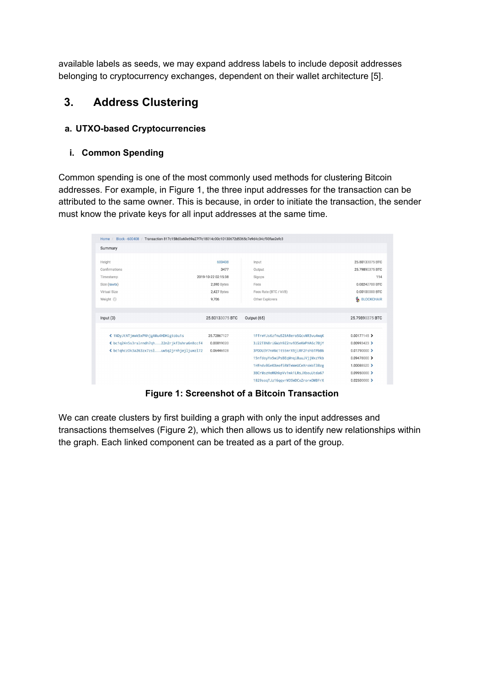available labels as seeds, we may expand address labels to include deposit addresses belonging to cryptocurrency exchanges, dependent on their wallet architecture [5].

### **3. Address Clustering**

#### **a. UTXO-based Cryptocurrencies**

#### **i. Common Spending**

Common spending is one of the most commonly used methods for clustering Bitcoin addresses. For example, in Figure 1, the three input addresses for the transaction can be attributed to the same owner. This is because, in order to initiate the transaction, the sender must know the private keys for all input addresses at the same time.

| Block - 600408<br>Transaction 817c158d0a60e69a27f7c18014c00c10130672d5365c7e9d4c34cf93fae2efc3<br>Home |                     |                                    |                        |
|--------------------------------------------------------------------------------------------------------|---------------------|------------------------------------|------------------------|
| Summary                                                                                                |                     |                                    |                        |
| Height                                                                                                 | 600408              | Input                              | 25.80133075 BTC        |
| Confirmations                                                                                          | 3477                | Output                             | 25.79890375 BTC        |
| Timestamp                                                                                              | 2019-10-22 02:15:38 | Sigops                             | 114                    |
| Size (rawtx)                                                                                           | 2,590 Bytes         | Fees                               | 0.00242700 BTC         |
| Virtual Size                                                                                           | 2,427 Bytes         | Fees Rate (BTC / kVB)              | 0.00100000 BTC         |
| Weight <sup>2</sup>                                                                                    | 9,706               | Other Explorers                    | ዔ<br><b>BLOCKCHAIR</b> |
|                                                                                                        |                     |                                    |                        |
| Input $(3)$                                                                                            | 25.80133075 BTC     | Output (65)                        | 25.79890375 BTC        |
| ≮ 1NDyJtNTjmwk5xPNhjgAMu4HDHigtobu1s                                                                   | 25.72867127         | 1FfrwYJs6zfnu5Z6A8ero5GcvMR3vu4wqK | $0.00177145$ >         |
| « bc1q24n5s3rslrndh7qh22n2rjkf3shra6n8ccf4                                                             | 0.00819020          | 3J22T8N8riGWzh9Z2nv935eKWPHA6c7BjY | $0.00993423$ >         |
| ≮bc1qhcz0k3a263zx7zsluw5q2jrnhjejljuwzl72                                                              | 0.06446928          | 3PDDU3Y7nANc1t55mrX9jiRF2FshbTPbB6 | 0.01790000             |
|                                                                                                        |                     | 15nfdoyYx5wiPsBEqMnqi8uuJVjjMxzYkb | 0.09478000 >           |
|                                                                                                        |                     | 1Hfndv8GeKXeof5RMTwWeUCeXroWoT38zg | 1.00088520 >           |
|                                                                                                        |                     |                                    |                        |
|                                                                                                        |                     | 3BCrMszHoMGhkpVv1wk1LRsJXbouUtda67 | $0.09950000$ >         |

**Figure 1: Screenshot of a Bitcoin Transaction**

We can create clusters by first building a graph with only the input addresses and transactions themselves (Figure 2), which then allows us to identify new relationships within the graph. Each linked component can be treated as a part of the group.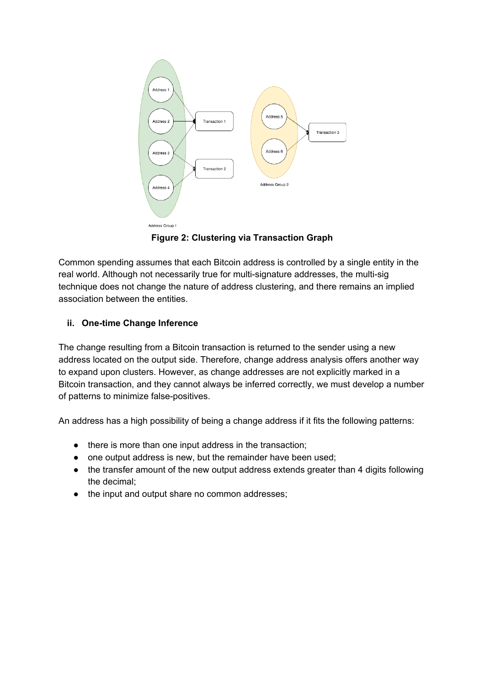

**Figure 2: Clustering via Transaction Graph**

Common spending assumes that each Bitcoin address is controlled by a single entity in the real world. Although not necessarily true for multi-signature addresses, the multi-sig technique does not change the nature of address clustering, and there remains an implied association between the entities.

### **ii. One-time Change Inference**

The change resulting from a Bitcoin transaction is returned to the sender using a new address located on the output side. Therefore, change address analysis offers another way to expand upon clusters. However, as change addresses are not explicitly marked in a Bitcoin transaction, and they cannot always be inferred correctly, we must develop a number of patterns to minimize false-positives.

An address has a high possibility of being a change address if it fits the following patterns:

- there is more than one input address in the transaction;
- one output address is new, but the remainder have been used;
- the transfer amount of the new output address extends greater than 4 digits following the decimal;
- the input and output share no common addresses;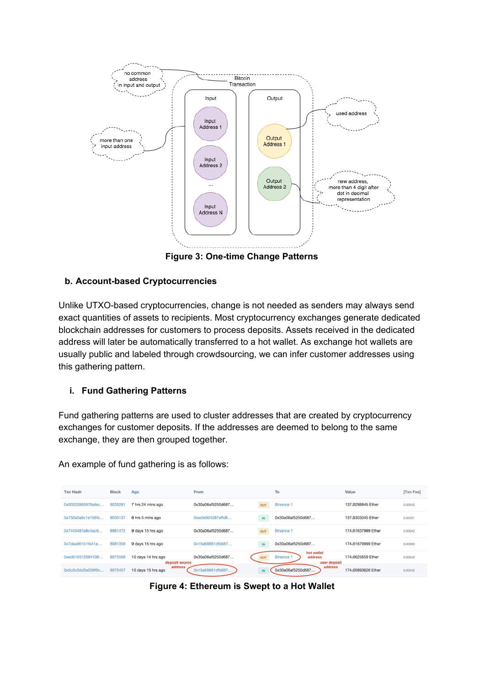

**Figure 3: One-time Change Patterns**

#### **b. Account-based Cryptocurrencies**

Unlike UTXO-based cryptocurrencies, change is not needed as senders may always send exact quantities of assets to recipients. Most cryptocurrency exchanges generate dedicated blockchain addresses for customers to process deposits. Assets received in the dedicated address will later be automatically transferred to a hot wallet. As exchange hot wallets are usually public and labeled through crowdsourcing, we can infer customer addresses using this gathering pattern.

#### **i. Fund Gathering Patterns**

Fund gathering patterns are used to cluster addresses that are created by cryptocurrency exchanges for customer deposits. If the addresses are deemed to belong to the same exchange, they are then grouped together.

An example of fund gathering is as follows:

| <b>Txn Hash</b>   | <b>Block</b> | Age                                  | From                                                  |     | To                                                      | Value              | [Txn Fee] |
|-------------------|--------------|--------------------------------------|-------------------------------------------------------|-----|---------------------------------------------------------|--------------------|-----------|
| 0x00203965976afec | 9035281      | 7 hrs 24 mins ago                    | 0x30a06af5250d687                                     | OUT | <b>Binance 1</b>                                        | 137,8298845 Ether  | 0.00042   |
| 0x732e0a9c1e156fc | 9035137      | 8 hrs 5 mins ago                     | $0 \times c$ $c$ $f$ $e$ $954287$ $e$ $f$ $f$ $d$ $8$ | IN  | 0x30a06af5250d687                                       | 137,8303045 Ether  | 0.00021   |
| 0x7443487e8c4ac6  | 8981472      | 9 days 15 hrs ago                    | 0x30a06af5250d687                                     | OUT | <b>Binance 1</b>                                        | 174,61637999 Ether | 0.00042   |
| 0x7daa961b1fe41a  | 8981358      | 9 days 15 hrs ago                    | 0x15a68861dfb687                                      | IN  | 0x30a06af5250d687                                       | 174,61679999 Ether | 0.00063   |
| 0xed016312984109  | 8975568      | 10 days 14 hrs ago<br>deposit source | 0x30a06af5250d687                                     | OUT | hot wallet<br><b>Binance</b><br>address<br>user deposit | 174,6625659 Ether  | 0.00042   |
| 0x5c0c2dd5e009f0c | 8975457      | address<br>10 days 15 hrs ago        | 0x15a68861dfb687                                      | IN  | address<br>0x30a06af5250d687                            | 174,65893626 Ether | 0.00042   |

**Figure 4: Ethereum is Swept to a Hot Wallet**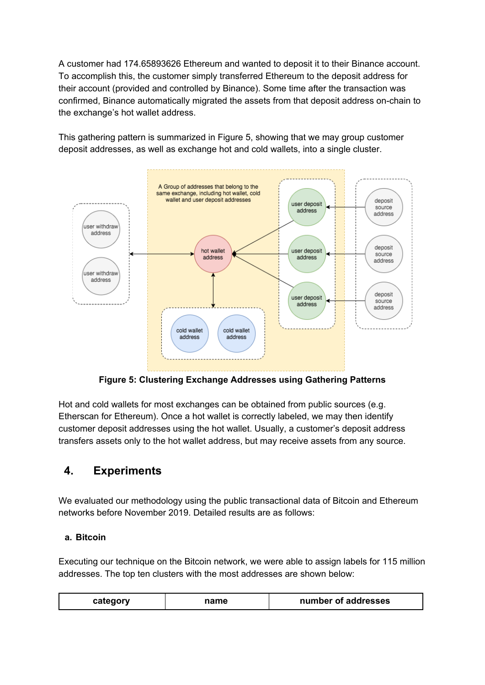A customer had 174.65893626 Ethereum and wanted to deposit it to their Binance account. To accomplish this, the customer simply transferred Ethereum to the deposit address for their account (provided and controlled by Binance). Some time after the transaction was confirmed, Binance automatically migrated the assets from that deposit address on-chain to the exchange's hot wallet address.

This gathering pattern is summarized in Figure 5, showing that we may group customer deposit addresses, as well as exchange hot and cold wallets, into a single cluster.



**Figure 5: Clustering Exchange Addresses using Gathering Patterns**

Hot and cold wallets for most exchanges can be obtained from public sources (e.g. Etherscan for Ethereum). Once a hot wallet is correctly labeled, we may then identify customer deposit addresses using the hot wallet. Usually, a customer's deposit address transfers assets only to the hot wallet address, but may receive assets from any source.

# **4. Experiments**

We evaluated our methodology using the public transactional data of Bitcoin and Ethereum networks before November 2019. Detailed results are as follows:

### **a. Bitcoin**

Executing our technique on the Bitcoin network, we were able to assign labels for 115 million addresses. The top ten clusters with the most addresses are shown below:

| number of addresses<br>category<br>าame |
|-----------------------------------------|
|-----------------------------------------|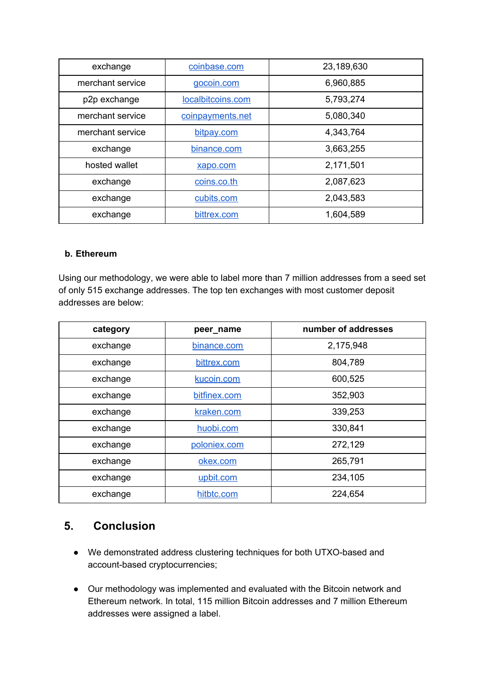| exchange         | coinbase.com      | 23,189,630 |
|------------------|-------------------|------------|
| merchant service | gocoin.com        | 6,960,885  |
| p2p exchange     | localbitcoins.com | 5,793,274  |
| merchant service | coinpayments.net  | 5,080,340  |
| merchant service | bitpay.com        | 4,343,764  |
| exchange         | binance.com       | 3,663,255  |
| hosted wallet    | xapo.com          | 2,171,501  |
| exchange         | coins.co.th       | 2,087,623  |
| exchange         | cubits.com        | 2,043,583  |
| exchange         | bittrex.com       | 1,604,589  |

#### **b. Ethereum**

Using our methodology, we were able to label more than 7 million addresses from a seed set of only 515 exchange addresses. The top ten exchanges with most customer deposit addresses are below:

| category | peer_name    | number of addresses |
|----------|--------------|---------------------|
| exchange | binance.com  | 2,175,948           |
| exchange | bittrex.com  | 804,789             |
| exchange | kucoin.com   | 600,525             |
| exchange | bitfinex.com | 352,903             |
| exchange | kraken.com   | 339,253             |
| exchange | huobi.com    | 330,841             |
| exchange | poloniex.com | 272,129             |
| exchange | okex.com     | 265,791             |
| exchange | upbit.com    | 234,105             |
| exchange | hitbtc.com   | 224,654             |

### **5. Conclusion**

- We demonstrated address clustering techniques for both UTXO-based and account-based cryptocurrencies;
- Our methodology was implemented and evaluated with the Bitcoin network and Ethereum network. In total, 115 million Bitcoin addresses and 7 million Ethereum addresses were assigned a label.